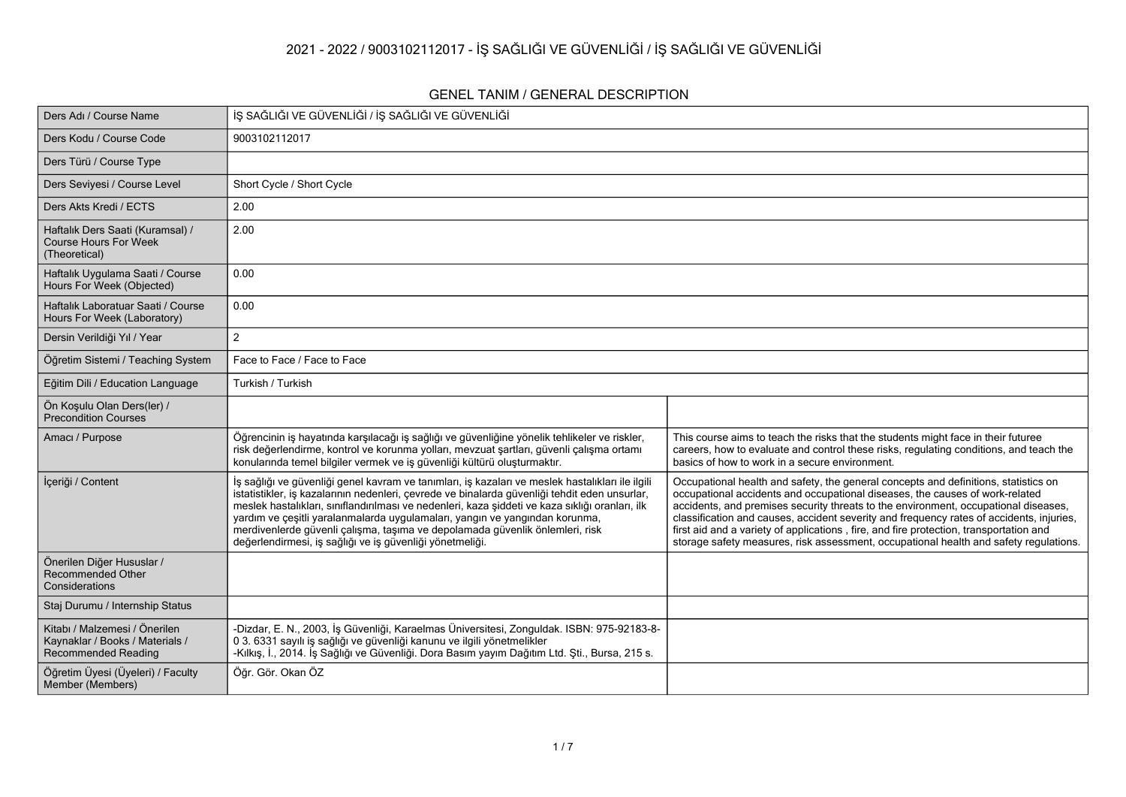## **2021 - 2022 / 9003102112017 - İŞ SAĞLIĞI VE GÜVENLİĞİ / İŞ SAĞLIĞI VE GÜVENLİĞİ**

### **GENEL TANIM / GENERAL DESCRIPTION**

| Ders Adı / Course Name                                                                  | İŞ SAĞLIĞI VE GÜVENLİĞİ / İŞ SAĞLIĞI VE GÜVENLİĞİ                                                                                                                                                                                                                                                                                                                                                                                                                                                                               |                                                                                                                                                                                                                                                                                                                                                                                                                                                                                                                                           |
|-----------------------------------------------------------------------------------------|---------------------------------------------------------------------------------------------------------------------------------------------------------------------------------------------------------------------------------------------------------------------------------------------------------------------------------------------------------------------------------------------------------------------------------------------------------------------------------------------------------------------------------|-------------------------------------------------------------------------------------------------------------------------------------------------------------------------------------------------------------------------------------------------------------------------------------------------------------------------------------------------------------------------------------------------------------------------------------------------------------------------------------------------------------------------------------------|
| Ders Kodu / Course Code                                                                 | 9003102112017                                                                                                                                                                                                                                                                                                                                                                                                                                                                                                                   |                                                                                                                                                                                                                                                                                                                                                                                                                                                                                                                                           |
| Ders Türü / Course Type                                                                 |                                                                                                                                                                                                                                                                                                                                                                                                                                                                                                                                 |                                                                                                                                                                                                                                                                                                                                                                                                                                                                                                                                           |
| Ders Seviyesi / Course Level                                                            | Short Cycle / Short Cycle                                                                                                                                                                                                                                                                                                                                                                                                                                                                                                       |                                                                                                                                                                                                                                                                                                                                                                                                                                                                                                                                           |
| Ders Akts Kredi / ECTS                                                                  | 2.00                                                                                                                                                                                                                                                                                                                                                                                                                                                                                                                            |                                                                                                                                                                                                                                                                                                                                                                                                                                                                                                                                           |
| Haftalık Ders Saati (Kuramsal) /<br><b>Course Hours For Week</b><br>(Theoretical)       | 2.00                                                                                                                                                                                                                                                                                                                                                                                                                                                                                                                            |                                                                                                                                                                                                                                                                                                                                                                                                                                                                                                                                           |
| Haftalık Uygulama Saati / Course<br>Hours For Week (Objected)                           | 0.00                                                                                                                                                                                                                                                                                                                                                                                                                                                                                                                            |                                                                                                                                                                                                                                                                                                                                                                                                                                                                                                                                           |
| Haftalık Laboratuar Saati / Course<br>Hours For Week (Laboratory)                       | 0.00                                                                                                                                                                                                                                                                                                                                                                                                                                                                                                                            |                                                                                                                                                                                                                                                                                                                                                                                                                                                                                                                                           |
| Dersin Verildiği Yıl / Year                                                             | $\overline{2}$                                                                                                                                                                                                                                                                                                                                                                                                                                                                                                                  |                                                                                                                                                                                                                                                                                                                                                                                                                                                                                                                                           |
| Öğretim Sistemi / Teaching System                                                       | Face to Face / Face to Face                                                                                                                                                                                                                                                                                                                                                                                                                                                                                                     |                                                                                                                                                                                                                                                                                                                                                                                                                                                                                                                                           |
| Eğitim Dili / Education Language                                                        | Turkish / Turkish                                                                                                                                                                                                                                                                                                                                                                                                                                                                                                               |                                                                                                                                                                                                                                                                                                                                                                                                                                                                                                                                           |
| Ön Koşulu Olan Ders(ler) /<br><b>Precondition Courses</b>                               |                                                                                                                                                                                                                                                                                                                                                                                                                                                                                                                                 |                                                                                                                                                                                                                                                                                                                                                                                                                                                                                                                                           |
| Amacı / Purpose                                                                         | Öğrencinin iş hayatında karşılacağı iş sağlığı ve güvenliğine yönelik tehlikeler ve riskler,<br>risk değerlendirme, kontrol ve korunma yolları, mevzuat şartları, güvenli çalışma ortamı<br>konularında temel bilgiler vermek ve iş güvenliği kültürü oluşturmaktır.                                                                                                                                                                                                                                                            | This course aims to teach the risks that the students might face in their futuree<br>careers, how to evaluate and control these risks, regulating conditions, and teach the<br>basics of how to work in a secure environment.                                                                                                                                                                                                                                                                                                             |
| İçeriği / Content                                                                       | İş sağlığı ve güvenliği genel kavram ve tanımları, iş kazaları ve meslek hastalıkları ile ilgili<br>istatistikler, iş kazalarının nedenleri, çevrede ve binalarda güvenliği tehdit eden unsurlar,<br>meslek hastalıkları, sınıflandırılması ve nedenleri, kaza şiddeti ve kaza sıklığı oranları, ilk<br>yardım ve çeşitli yaralanmalarda uygulamaları, yangın ve yangından korunma,<br>merdivenlerde güvenli çalışma, taşıma ve depolamada güvenlik önlemleri, risk<br>değerlendirmesi, iş sağlığı ve iş güvenliği yönetmeliği. | Occupational health and safety, the general concepts and definitions, statistics on<br>occupational accidents and occupational diseases, the causes of work-related<br>accidents, and premises security threats to the environment, occupational diseases,<br>classification and causes, accident severity and frequency rates of accidents, injuries,<br>first aid and a variety of applications, fire, and fire protection, transportation and<br>storage safety measures, risk assessment, occupational health and safety regulations. |
| Önerilen Diğer Hususlar /<br>Recommended Other<br>Considerations                        |                                                                                                                                                                                                                                                                                                                                                                                                                                                                                                                                 |                                                                                                                                                                                                                                                                                                                                                                                                                                                                                                                                           |
| Staj Durumu / Internship Status                                                         |                                                                                                                                                                                                                                                                                                                                                                                                                                                                                                                                 |                                                                                                                                                                                                                                                                                                                                                                                                                                                                                                                                           |
| Kitabı / Malzemesi / Önerilen<br>Kaynaklar / Books / Materials /<br>Recommended Reading | -Dizdar, E. N., 2003, İş Güvenliği, Karaelmas Üniversitesi, Zonguldak. ISBN: 975-92183-8-<br>0 3. 6331 sayılı iş sağlığı ve güvenliği kanunu ve ilgili yönetmelikler<br>-Kılkış, İ., 2014. İş Sağlığı ve Güvenliği. Dora Basım yayım Dağıtım Ltd. Şti., Bursa, 215 s.                                                                                                                                                                                                                                                           |                                                                                                                                                                                                                                                                                                                                                                                                                                                                                                                                           |
| Öğretim Üyesi (Üyeleri) / Faculty<br>Member (Members)                                   | Öğr. Gör. Okan ÖZ                                                                                                                                                                                                                                                                                                                                                                                                                                                                                                               |                                                                                                                                                                                                                                                                                                                                                                                                                                                                                                                                           |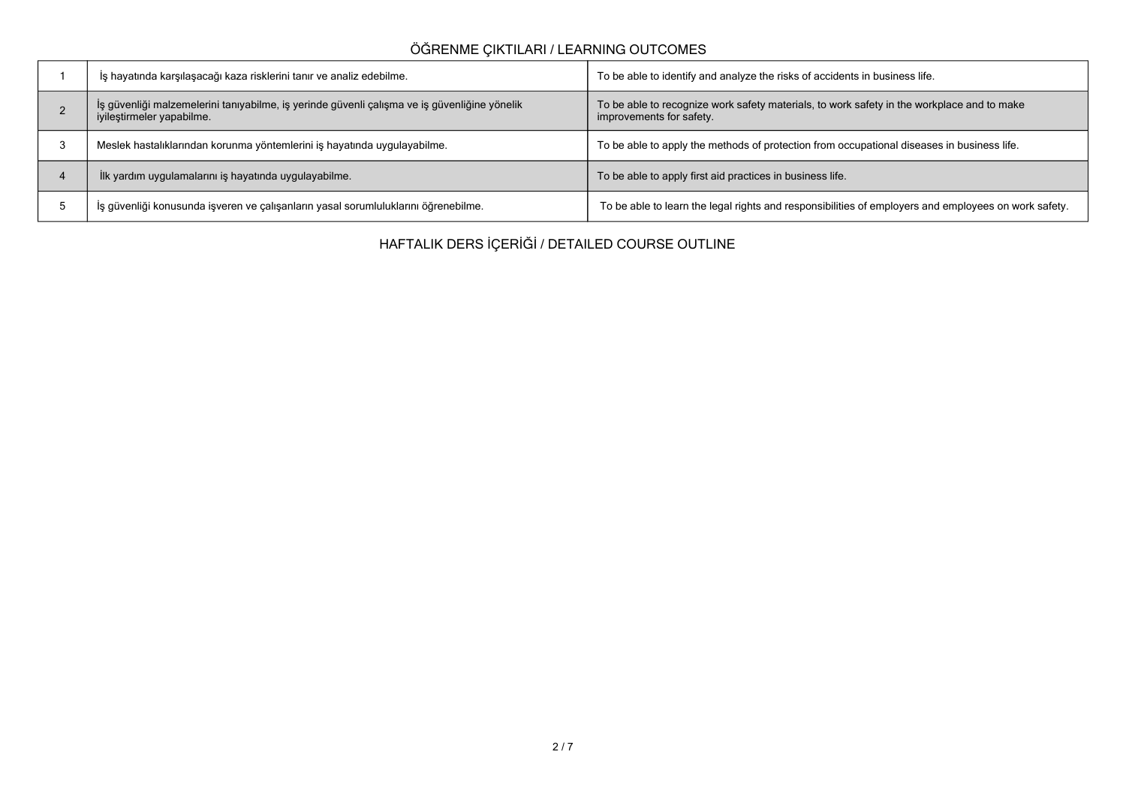# **ÖĞRENME ÇIKTILARI / LEARNING OUTCOMES**

| İş hayatında karşılaşacağı kaza risklerini tanır ve analiz edebilme.                                                      | To be able to identify and analyze the risks of accidents in business life.                                            |
|---------------------------------------------------------------------------------------------------------------------------|------------------------------------------------------------------------------------------------------------------------|
| İş güvenliği malzemelerini tanıyabilme, iş yerinde güvenli çalışma ve iş güvenliğine yönelik<br>iyileştirmeler yapabilme. | To be able to recognize work safety materials, to work safety in the workplace and to make<br>improvements for safety. |
| Meslek hastalıklarından korunma yöntemlerini iş hayatında uygulayabilme.                                                  | To be able to apply the methods of protection from occupational diseases in business life.                             |
| İlk yardım uygulamalarını iş hayatında uygulayabilme.                                                                     | To be able to apply first aid practices in business life.                                                              |
| İş güvenliği konusunda işveren ve çalışanların yasal sorumluluklarını öğrenebilme.                                        | To be able to learn the legal rights and responsibilities of employers and employees on work safety.                   |

**HAFTALIK DERS İÇERİĞİ / DETAILED COURSE OUTLINE**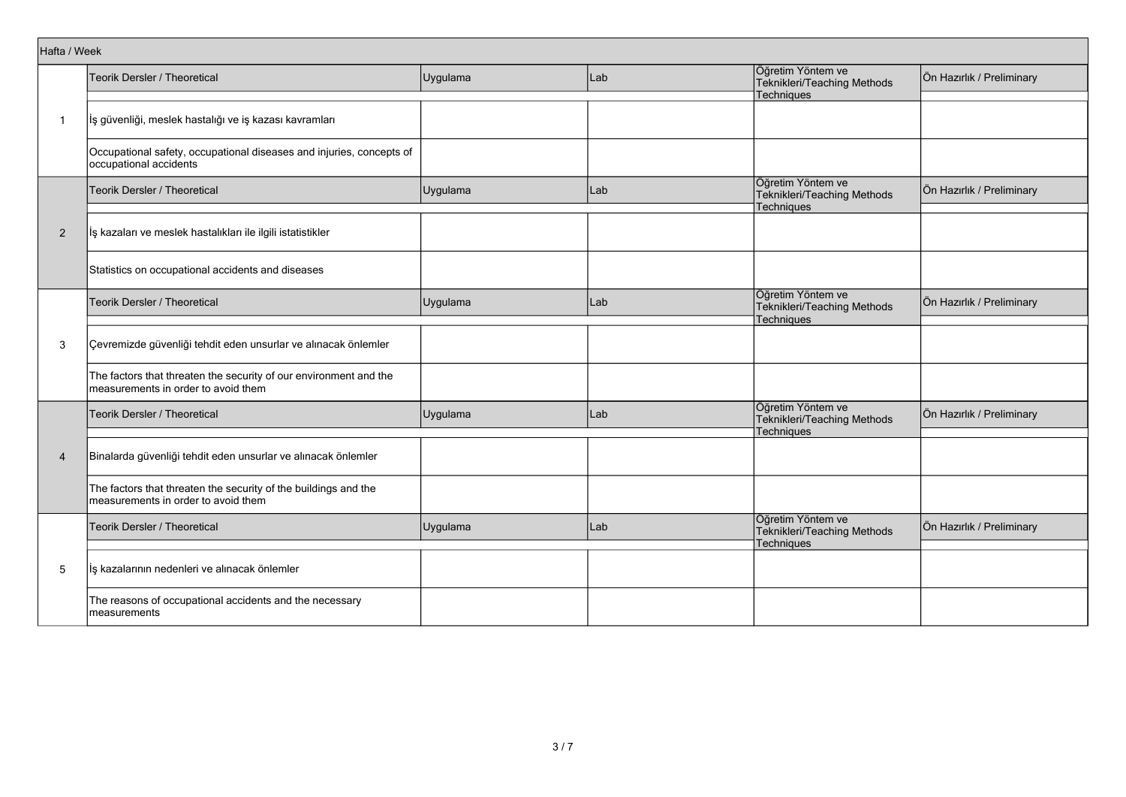| Hafta / Week   |                                                                                                          |          |     |                                                                       |                           |
|----------------|----------------------------------------------------------------------------------------------------------|----------|-----|-----------------------------------------------------------------------|---------------------------|
|                | Teorik Dersler / Theoretical                                                                             | Uygulama | Lab | Öğretim Yöntem ve<br>Teknikleri/Teaching Methods                      | Ön Hazırlık / Preliminary |
|                |                                                                                                          |          |     | Techniques                                                            |                           |
| $\mathbf{1}$   | İş güvenliği, meslek hastalığı ve iş kazası kavramları                                                   |          |     |                                                                       |                           |
|                | Occupational safety, occupational diseases and injuries, concepts of<br>occupational accidents           |          |     |                                                                       |                           |
|                | Teorik Dersler / Theoretical                                                                             | Uygulama | Lab | Öğretim Yöntem ve<br>Teknikleri/Teaching Methods<br><b>Techniques</b> | Ön Hazırlık / Preliminary |
|                |                                                                                                          |          |     |                                                                       |                           |
| 2              | İş kazaları ve meslek hastalıkları ile ilgili istatistikler                                              |          |     |                                                                       |                           |
|                | Statistics on occupational accidents and diseases                                                        |          |     |                                                                       |                           |
|                | Teorik Dersler / Theoretical                                                                             | Uygulama | Lab | Öğretim Yöntem ve<br>Teknikleri/Teaching Methods<br>Techniques        | Ön Hazırlık / Preliminary |
| 3              | Çevremizde güvenliği tehdit eden unsurlar ve alınacak önlemler                                           |          |     |                                                                       |                           |
|                | The factors that threaten the security of our environment and the<br>measurements in order to avoid them |          |     |                                                                       |                           |
|                | Teorik Dersler / Theoretical                                                                             | Uygulama | Lab | Öğretim Yöntem ve<br>Teknikleri/Teaching Methods<br><b>Techniques</b> | Ön Hazırlık / Preliminary |
| $\overline{4}$ | Binalarda güvenliği tehdit eden unsurlar ve alınacak önlemler                                            |          |     |                                                                       |                           |
|                | The factors that threaten the security of the buildings and the<br>measurements in order to avoid them   |          |     |                                                                       |                           |
|                | Teorik Dersler / Theoretical                                                                             | Uygulama | Lab | Öğretim Yöntem ve<br>Teknikleri/Teaching Methods<br>Techniques        | Ön Hazırlık / Preliminary |
| 5              | İş kazalarının nedenleri ve alınacak önlemler                                                            |          |     |                                                                       |                           |
|                | The reasons of occupational accidents and the necessary<br>measurements                                  |          |     |                                                                       |                           |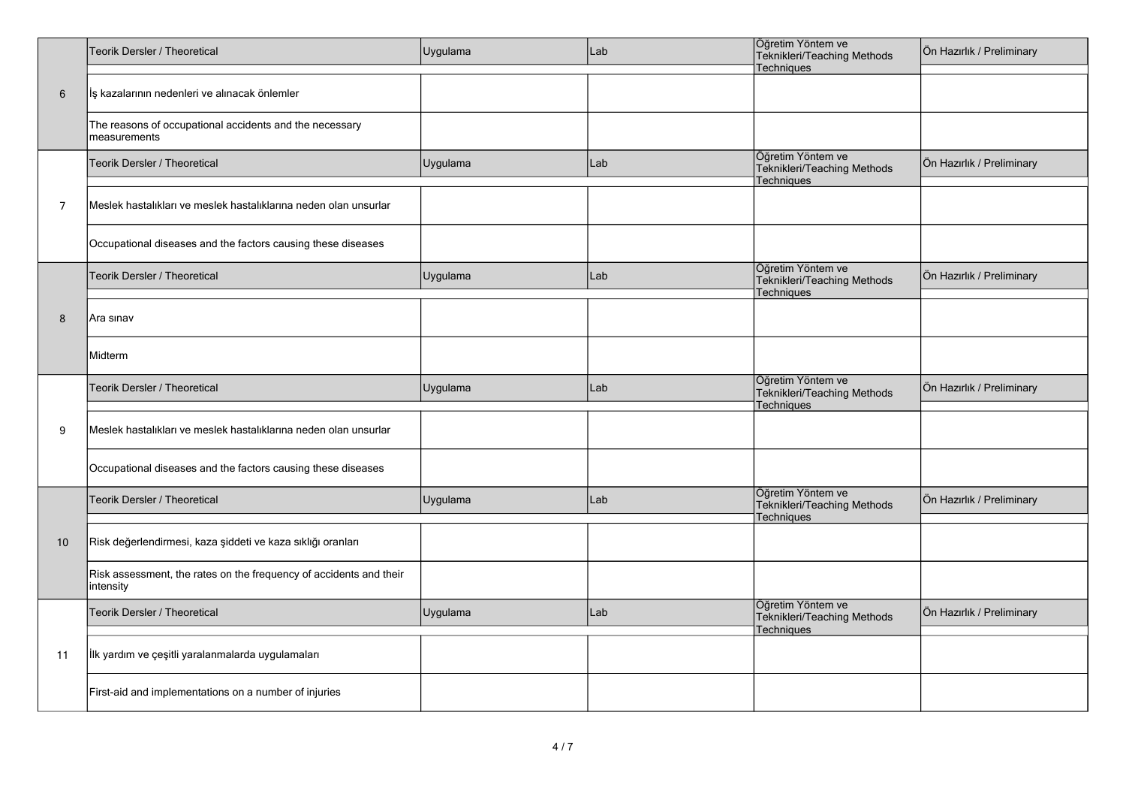|                | Teorik Dersler / Theoretical                                                    | Uygulama | Lab | Öğretim Yöntem ve<br>Teknikleri/Teaching Methods<br>Techniques        | Ön Hazırlık / Preliminary |
|----------------|---------------------------------------------------------------------------------|----------|-----|-----------------------------------------------------------------------|---------------------------|
| 6              | İş kazalarının nedenleri ve alınacak önlemler                                   |          |     |                                                                       |                           |
|                | The reasons of occupational accidents and the necessary<br>measurements         |          |     |                                                                       |                           |
|                | Teorik Dersler / Theoretical                                                    | Uygulama | Lab | Öğretim Yöntem ve<br>Teknikleri/Teaching Methods<br>Techniques        | Ön Hazırlık / Preliminary |
| $\overline{7}$ | Meslek hastalıkları ve meslek hastalıklarına neden olan unsurlar                |          |     |                                                                       |                           |
|                | Occupational diseases and the factors causing these diseases                    |          |     |                                                                       |                           |
|                | Teorik Dersler / Theoretical                                                    | Uygulama | Lab | Öğretim Yöntem ve<br>Teknikleri/Teaching Methods<br>Techniques        | Ön Hazırlık / Preliminary |
| 8              | Ara sınav                                                                       |          |     |                                                                       |                           |
|                | Midterm                                                                         |          |     |                                                                       |                           |
|                | Teorik Dersler / Theoretical                                                    | Uygulama | Lab | Öğretim Yöntem ve<br>Teknikleri/Teaching Methods<br><b>Techniques</b> | Ön Hazırlık / Preliminary |
| 9              | Meslek hastalıkları ve meslek hastalıklarına neden olan unsurlar                |          |     |                                                                       |                           |
|                | Occupational diseases and the factors causing these diseases                    |          |     |                                                                       |                           |
|                | Teorik Dersler / Theoretical                                                    | Uygulama | Lab | Öğretim Yöntem ve<br>Teknikleri/Teaching Methods<br>Techniques        | Ön Hazırlık / Preliminary |
| 10             | Risk değerlendirmesi, kaza şiddeti ve kaza sıklığı oranları                     |          |     |                                                                       |                           |
| 11             | Risk assessment, the rates on the frequency of accidents and their<br>intensity |          |     |                                                                       |                           |
|                | Teorik Dersler / Theoretical                                                    | Uygulama | Lab | Öğretim Yöntem ve<br>Teknikleri/Teaching Methods<br>Techniques        | Ön Hazırlık / Preliminary |
|                | İlk yardım ve çeşitli yaralanmalarda uygulamaları                               |          |     |                                                                       |                           |
|                | First-aid and implementations on a number of injuries                           |          |     |                                                                       |                           |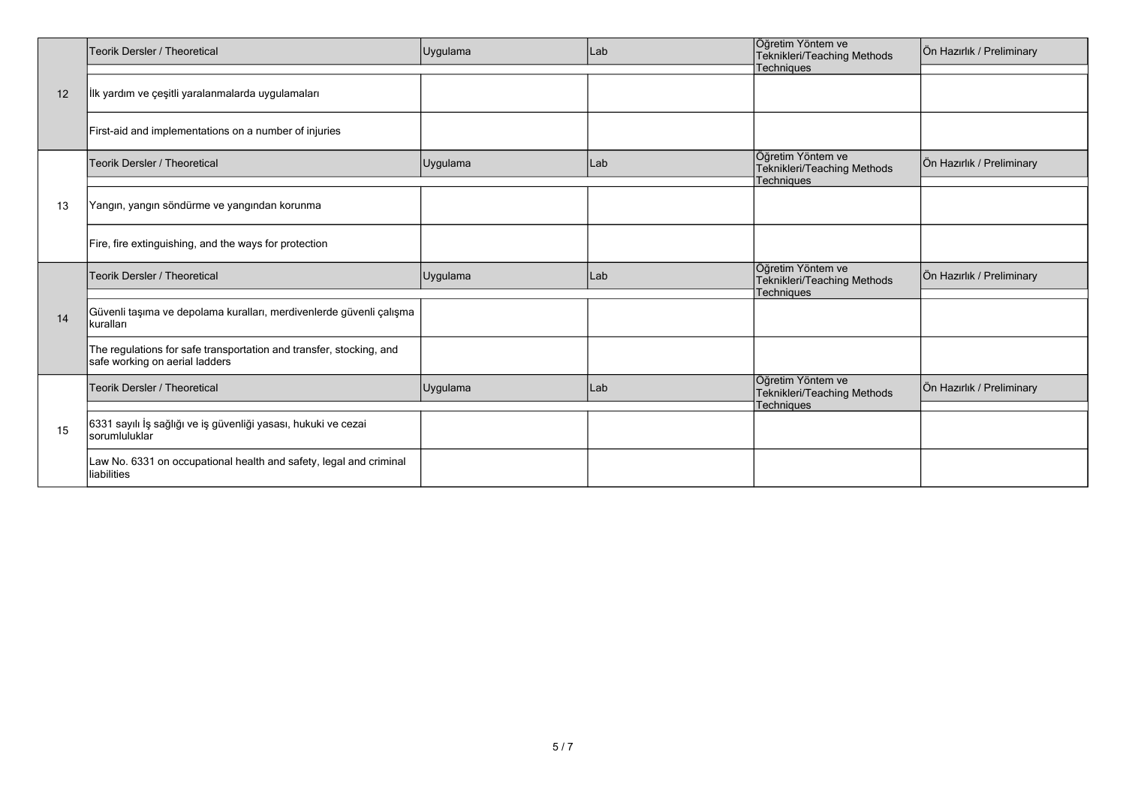|                | Teorik Dersler / Theoretical                                                                          | Uygulama | Lab | Öğretim Yöntem ve<br>Teknikleri/Teaching Methods<br><b>Techniques</b> | Ön Hazırlık / Preliminary |
|----------------|-------------------------------------------------------------------------------------------------------|----------|-----|-----------------------------------------------------------------------|---------------------------|
| 12             | İlk yardım ve çeşitli yaralanmalarda uygulamaları                                                     |          |     |                                                                       |                           |
| 13<br>14<br>15 | First-aid and implementations on a number of injuries                                                 |          |     |                                                                       |                           |
|                | <b>Teorik Dersler / Theoretical</b>                                                                   | Uygulama | Lab | Öğretim Yöntem ve<br>Teknikleri/Teaching Methods<br>Techniques        | Ön Hazırlık / Preliminary |
|                | Yangın, yangın söndürme ve yangından korunma                                                          |          |     |                                                                       |                           |
|                | Fire, fire extinguishing, and the ways for protection                                                 |          |     |                                                                       |                           |
|                | <b>Teorik Dersler / Theoretical</b>                                                                   | Uygulama | Lab | Öğretim Yöntem ve<br>Teknikleri/Teaching Methods<br><b>Techniques</b> | Ön Hazırlık / Preliminary |
|                | Güvenli taşıma ve depolama kuralları, merdivenlerde güvenli çalışma<br>kuralları                      |          |     |                                                                       |                           |
|                | The regulations for safe transportation and transfer, stocking, and<br>safe working on aerial ladders |          |     |                                                                       |                           |
|                | Teorik Dersler / Theoretical                                                                          | Uygulama | Lab | Öğretim Yöntem ve<br><b>Teknikleri/Teaching Methods</b><br>Techniques | Ön Hazırlık / Preliminary |
|                | 6331 sayılı İş sağlığı ve iş güvenliği yasası, hukuki ve cezai<br>sorumluluklar                       |          |     |                                                                       |                           |
|                | Law No. 6331 on occupational health and safety, legal and criminal<br>liabilities                     |          |     |                                                                       |                           |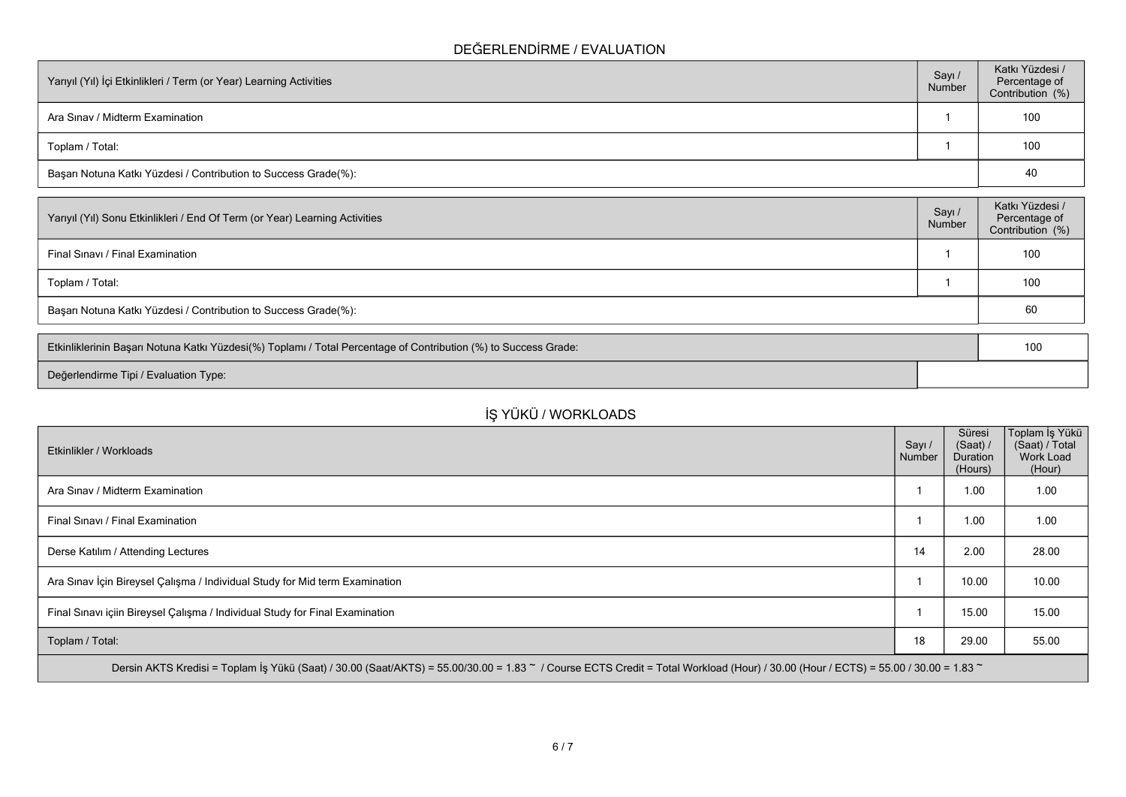### **DEĞERLENDİRME / EVALUATION**

| Yarıyıl (Yıl) İçi Etkinlikleri / Term (or Year) Learning Activities | Sayı /<br>Number | Katkı Yüzdesi /<br>Percentage of<br>Contribution (%) |
|---------------------------------------------------------------------|------------------|------------------------------------------------------|
| Ara Sinav / Midterm Examination                                     |                  | 100                                                  |
| Toplam / Total:                                                     |                  | 100                                                  |
| Başarı Notuna Katkı Yüzdesi / Contribution to Success Grade(%):     |                  | 40                                                   |

| Sayı/<br>Number | Katkı Yüzdesi /<br>Percentage of<br>Contribution (%) |
|-----------------|------------------------------------------------------|
|                 | 100                                                  |
|                 | 100                                                  |
|                 | 60                                                   |
|                 |                                                      |

| Etkinliklerinin Başarı Notuna Katkı Yüzdesi(%) Toplamı / Total Percentage of Contribution (%) to Success Grade: | 10 |
|-----------------------------------------------------------------------------------------------------------------|----|
| Değerlendirme Tipi / Evaluation Type:                                                                           |    |

## **İŞ YÜKÜ / WORKLOADS**

| Etkinlikler / Workloads                                                                                                                                                            | Sayı /<br>Number | Süresi<br>(Saat) /<br><b>Duration</b><br>(Hours) | Toplam İş Yükü  <br>(Saat) / Total<br><b>Work Load</b><br>(Hour) |
|------------------------------------------------------------------------------------------------------------------------------------------------------------------------------------|------------------|--------------------------------------------------|------------------------------------------------------------------|
| Ara Sinav / Midterm Examination                                                                                                                                                    |                  | 1.00                                             | 1.00                                                             |
| Final Sinavi / Final Examination                                                                                                                                                   |                  | 1.00                                             | 1.00                                                             |
| Derse Katılım / Attending Lectures                                                                                                                                                 | 14               | 2.00                                             | 28.00                                                            |
| Ara Sınav İçin Bireysel Çalışma / Individual Study for Mid term Examination                                                                                                        |                  | 10.00                                            | 10.00                                                            |
| Final Sinavi içiin Bireysel Çalışma / Individual Study for Final Examination                                                                                                       |                  | 15.00                                            | 15.00                                                            |
| Toplam / Total:                                                                                                                                                                    | 18               | 29.00                                            | 55.00                                                            |
| Dersin AKTS Kredisi = Toplam İş Yükü (Saat) / 30.00 (Saat/AKTS) = 55.00/30.00 = 1.83 ~ / Course ECTS Credit = Total Workload (Hour) / 30.00 (Hour / ECTS) = 55.00 / 30.00 = 1.83 ~ |                  |                                                  |                                                                  |